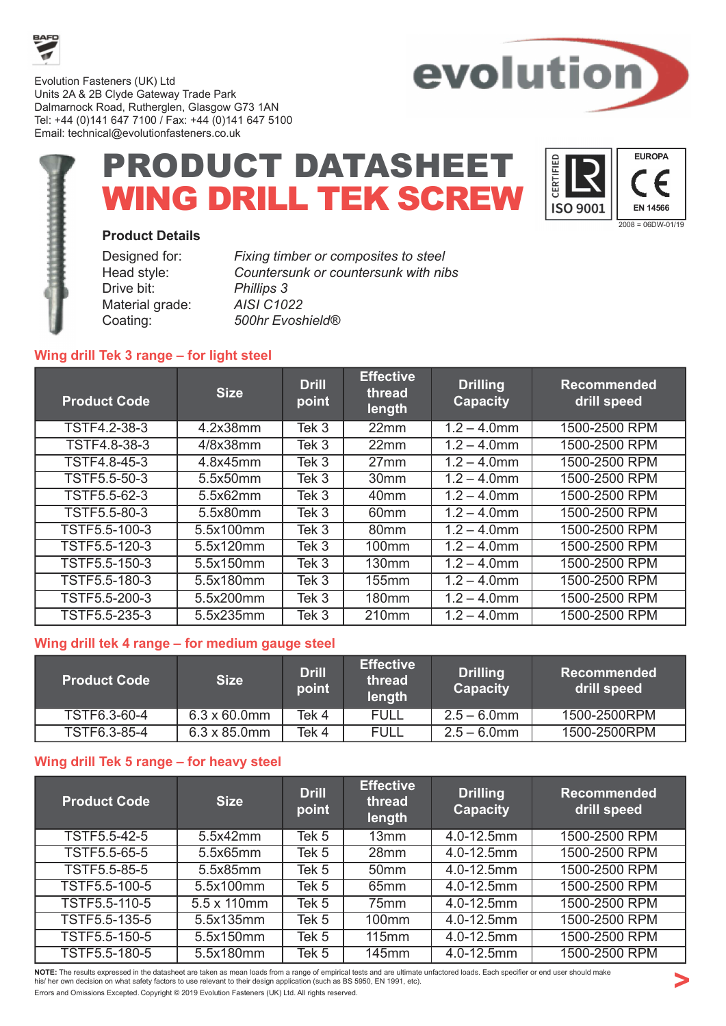

Evolution Fasteners (UK) Ltd Units 2A & 2B Clyde Gateway Trade Park Dalmarnock Road, Rutherglen, Glasgow G73 1AN Tel: +44 (0)141 647 7100 / Fax: +44 (0)141 647 5100 Email: technical@evolutionfasteners.co.uk



# PRODUCT DATASHEET WING DRILL TEK SCREW



#### Product Details

| <b>Fixing timbe</b> |
|---------------------|
| Countersun          |
| <b>Phillips 3</b>   |
| <b>AISI C1022</b>   |
| 500hr Evosi         |
|                     |

Designed for: Fixing timber or composites to steel Head style: Countersunk or countersunk with nibs Coating: 500hr Evoshield®

### Wing drill Tek 3 range – for light steel

| <b>Product Code</b> | <b>Size</b> | <b>Drill</b><br>point | <b>Effective</b><br>thread<br>length | <b>Drilling</b><br><b>Capacity</b> | <b>Recommended</b><br>drill speed |
|---------------------|-------------|-----------------------|--------------------------------------|------------------------------------|-----------------------------------|
| TSTF4.2-38-3        | 4.2x38mm    | Tek 3                 | 22mm                                 | $1.2 - 4.0$ mm                     | 1500-2500 RPM                     |
| TSTF4.8-38-3        | 4/8x38mm    | Tek 3                 | 22mm                                 | $1.2 - 4.0$ mm                     | 1500-2500 RPM                     |
| <b>TSTF4.8-45-3</b> | 4.8x45mm    | Tek 3                 | 27mm                                 | $1.2 - 4.0$ mm                     | 1500-2500 RPM                     |
| <b>TSTF5.5-50-3</b> | 5.5x50mm    | Tek 3                 | 30 <sub>mm</sub>                     | $1.2 - 4.0$ mm                     | 1500-2500 RPM                     |
| TSTF5.5-62-3        | 5.5x62mm    | Tek 3                 | 40 <sub>mm</sub>                     | $1.2 - 4.0$ mm                     | 1500-2500 RPM                     |
| <b>TSTF5.5-80-3</b> | 5.5x80mm    | Tek 3                 | 60 <sub>mm</sub>                     | $1.2 - 4.0$ mm                     | 1500-2500 RPM                     |
| TSTF5.5-100-3       | 5.5x100mm   | Tek 3                 | 80mm                                 | $1.2 - 4.0$ mm                     | 1500-2500 RPM                     |
| TSTF5.5-120-3       | 5.5x120mm   | Tek 3                 | 100 <sub>mm</sub>                    | $1.2 - 4.0$ mm                     | 1500-2500 RPM                     |
| TSTF5.5-150-3       | 5.5x150mm   | Tek 3                 | 130 <sub>mm</sub>                    | $1.2 - 4.0$ mm                     | 1500-2500 RPM                     |
| TSTF5.5-180-3       | 5.5x180mm   | Tek 3                 | 155mm                                | $1.2 - 4.0$ mm                     | 1500-2500 RPM                     |
| TSTF5.5-200-3       | 5.5x200mm   | Tek 3                 | <b>180mm</b>                         | $1.2 - 4.0$ mm                     | 1500-2500 RPM                     |
| TSTF5.5-235-3       | 5.5x235mm   | Tek 3                 | 210 <sub>mm</sub>                    | $1.2 - 4.0$ mm                     | 1500-2500 RPM                     |

#### Wing drill tek 4 range – for medium gauge steel

| <b>Product Code</b> | <b>Size</b>          | <b>Drill</b><br>point | <b>Effective</b><br>thread<br>length | <b>Drilling</b><br><b>Capacity</b> | ' Recommended.<br>drill speed |
|---------------------|----------------------|-----------------------|--------------------------------------|------------------------------------|-------------------------------|
| TSTF6.3-60-4        | $6.3 \times 60.0$ mm | Tek 4                 | FULL                                 | $2.5 - 6.0$ mm                     | 1500-2500RPM                  |
| TSTF6.3-85-4        | $6.3 \times 85.0$ mm | Tek 4                 | <b>FULL</b>                          | $2.5 - 6.0$ mm                     | 1500-2500RPM                  |

## Wing drill Tek 5 range – for heavy steel

| <b>Product Code</b> | <b>Size</b>         | <b>Drill</b><br>point | <b>Effective</b><br>thread<br>length | <b>Drilling</b><br><b>Capacity</b> | <b>Recommended</b><br>drill speed |
|---------------------|---------------------|-----------------------|--------------------------------------|------------------------------------|-----------------------------------|
| TSTF5.5-42-5        | 5.5x42mm            | Tek 5                 | 13mm                                 | 4.0-12.5mm                         | 1500-2500 RPM                     |
| <b>TSTF5.5-65-5</b> | 5.5x65mm            | Tek 5                 | 28 <sub>mm</sub>                     | 4.0-12.5mm                         | 1500-2500 RPM                     |
| <b>TSTF5.5-85-5</b> | 5.5x85mm            | Tek 5                 | 50 <sub>mm</sub>                     | 4.0-12.5mm                         | 1500-2500 RPM                     |
| TSTF5.5-100-5       | 5.5x100mm           | Tek 5                 | 65mm                                 | 4.0-12.5mm                         | 1500-2500 RPM                     |
| TSTF5.5-110-5       | $5.5 \times 110$ mm | Tek 5                 | 75mm                                 | 4.0-12.5mm                         | 1500-2500 RPM                     |
| TSTF5.5-135-5       | 5.5x135mm           | Tek 5                 | 100 <sub>mm</sub>                    | 4.0-12.5mm                         | 1500-2500 RPM                     |
| TSTF5.5-150-5       | 5.5x150mm           | Tek 5                 | <b>115mm</b>                         | 4.0-12.5mm                         | 1500-2500 RPM                     |
| TSTF5.5-180-5       | 5.5x180mm           | Tek 5                 | <b>145mm</b>                         | $4.0 - 12.5$ mm                    | 1500-2500 RPM                     |

NOTE: The results expressed in the datasheet are taken as mean loads from a range of empirical tests and are ultimate unfactored loads. Each specifier or end user should make his/ her own decision on what safety factors to use relevant to their design application (such as BS 5950, EN 1991, etc). Errors and Omissions Excepted. Copyright © 2019 Evolution Fasteners (UK) Ltd. All rights reserved.